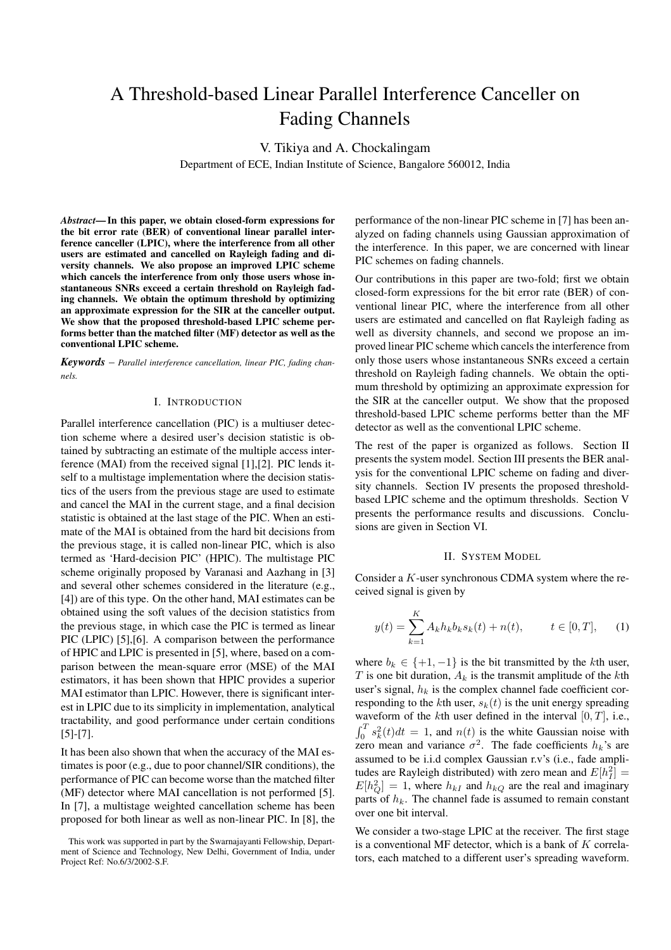# A Threshold-based Linear Parallel Interference Canceller on Fading Channels

V. Tikiya and A. Chockalingam

Department of ECE, Indian Institute of Science, Bangalore 560012, India

*Abstract***— In this paper, we obtain closed-form expressions for the bit error rate (BER) of conventional linear parallel interference canceller (LPIC), where the interference from all other users are estimated and cancelled on Rayleigh fading and diversity channels. We also propose an improved LPIC scheme which cancels the interference from only those users whose instantaneous SNRs exceed a certain threshold on Rayleigh fading channels. We obtain the optimum threshold by optimizing an approximate expression for the SIR at the canceller output. We show that the proposed threshold-based LPIC scheme performs better than the matched filter (MF) detector as well as the conventional LPIC scheme.**

*Keywords* – *Parallel interference cancellation, linear PIC, fading channels.*

# I. INTRODUCTION

Parallel interference cancellation (PIC) is a multiuser detection scheme where a desired user's decision statistic is obtained by subtracting an estimate of the multiple access interference (MAI) from the received signal [1],[2]. PIC lends itself to a multistage implementation where the decision statistics of the users from the previous stage are used to estimate and cancel the MAI in the current stage, and a final decision statistic is obtained at the last stage of the PIC. When an estimate of the MAI is obtained from the hard bit decisions from the previous stage, it is called non-linear PIC, which is also termed as 'Hard-decision PIC' (HPIC). The multistage PIC scheme originally proposed by Varanasi and Aazhang in [3] and several other schemes considered in the literature (e.g., [4]) are of this type. On the other hand, MAI estimates can be obtained using the soft values of the decision statistics from the previous stage, in which case the PIC is termed as linear PIC (LPIC) [5],[6]. A comparison between the performance of HPIC and LPIC is presented in [5], where, based on a comparison between the mean-square error (MSE) of the MAI estimators, it has been shown that HPIC provides a superior MAI estimator than LPIC. However, there is significant interest in LPIC due to its simplicity in implementation, analytical tractability, and good performance under certain conditions [5]-[7].

It has been also shown that when the accuracy of the MAI estimates is poor (e.g., due to poor channel/SIR conditions), the performance of PIC can become worse than the matched filter (MF) detector where MAI cancellation is not performed [5]. In [7], a multistage weighted cancellation scheme has been proposed for both linear as well as non-linear PIC. In [8], the performance of the non-linear PIC scheme in [7] has been analyzed on fading channels using Gaussian approximation of the interference. In this paper, we are concerned with linear PIC schemes on fading channels.

Our contributions in this paper are two-fold; first we obtain closed-form expressions for the bit error rate (BER) of conventional linear PIC, where the interference from all other users are estimated and cancelled on flat Rayleigh fading as well as diversity channels, and second we propose an improved linear PIC scheme which cancels the interference from only those users whose instantaneous SNRs exceed a certain threshold on Rayleigh fading channels. We obtain the optimum threshold by optimizing an approximate expression for the SIR at the canceller output. We show that the proposed threshold-based LPIC scheme performs better than the MF detector as well as the conventional LPIC scheme.

The rest of the paper is organized as follows. Section II presents the system model. Section III presents the BER analysis for the conventional LPIC scheme on fading and diversity channels. Section IV presents the proposed thresholdbased LPIC scheme and the optimum thresholds. Section V presents the performance results and discussions. Conclusions are given in Section VI.

#### II. SYSTEM MODEL

Consider a K-user synchronous CDMA system where the received signal is given by

$$
y(t) = \sum_{k=1}^{K} A_k h_k b_k s_k(t) + n(t), \qquad t \in [0, T], \quad (1)
$$

where  $b_k \in \{+1, -1\}$  is the bit transmitted by the kth user, T is one bit duration,  $A_k$  is the transmit amplitude of the kth user's signal,  $h_k$  is the complex channel fade coefficient corresponding to the kth user,  $s_k(t)$  is the unit energy spreading waveform of the kth user defined in the interval  $[0, T]$ , i.e.,  $\int_0^T s_k^2(t)dt = 1$ , and  $n(t)$  is the white Gaussian noise with zero mean and variance  $\sigma^2$ . The fade coefficients  $h_k$ 's are assumed to be i.i.d complex Gaussian r.v's (i.e., fade amplitudes are Rayleigh distributed) with zero mean and  $E[h_I^2]$  =  $E[h_Q^2] = 1$ , where  $h_{kI}$  and  $h_{kQ}$  are the real and imaginary parts of  $h_k$ . The channel fade is assumed to remain constant over one bit interval.

We consider a two-stage LPIC at the receiver. The first stage is a conventional MF detector, which is a bank of  $K$  correlators, each matched to a different user's spreading waveform.

This work was supported in part by the Swarnajayanti Fellowship, Department of Science and Technology, New Delhi, Government of India, under Project Ref: No.6/3/2002-S.F.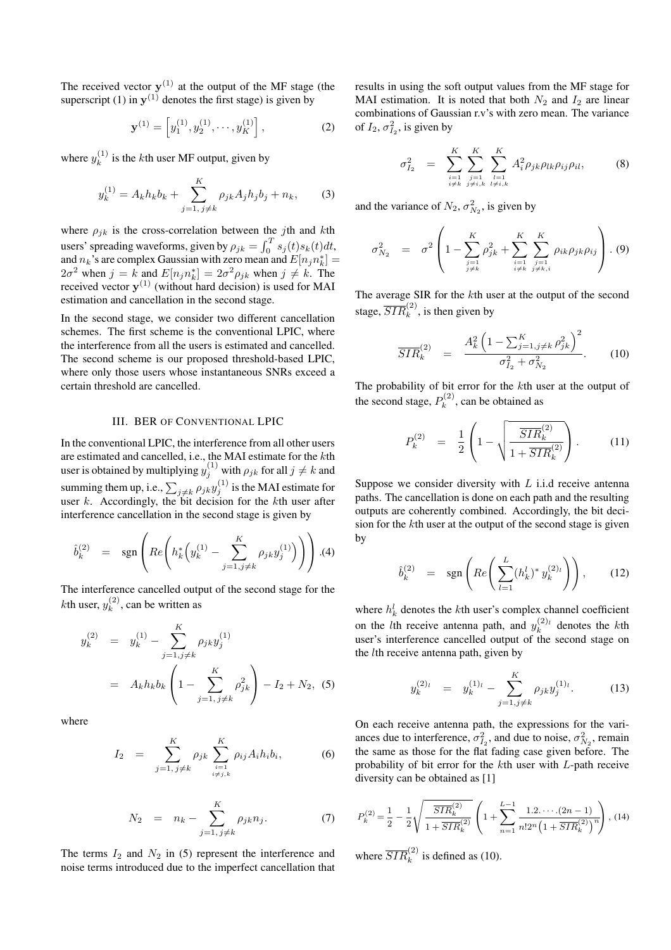The received vector  $y^{(1)}$  at the output of the MF stage (the superscript (1) in  $y^{(1)}$  denotes the first stage) is given by

$$
\mathbf{y}^{(1)} = \left[ y_1^{(1)}, y_2^{(1)}, \cdots, y_K^{(1)} \right],\tag{2}
$$

where  $y_k^{(1)}$  is the kth user MF output, given by

$$
y_k^{(1)} = A_k h_k b_k + \sum_{j=1, j \neq k}^{K} \rho_{jk} A_j h_j b_j + n_k,
$$
 (3)

where  $\rho_{ik}$  is the cross-correlation between the jth and kth users' spreading waveforms, given by  $\rho_{jk} = \int_0^T s_j(t) s_k(t) dt$ , and  $n_k$ 's are complex Gaussian with zero mean and  $E[n_j n_k^*] =$  $2\sigma^2$  when  $j = k$  and  $E[n_j n_k^*] = 2\sigma^2 \rho_{jk}$  when  $j \neq k$ . The received vector **y**(1) (without hard decision) is used for MAI estimation and cancellation in the second stage.

In the second stage, we consider two different cancellation schemes. The first scheme is the conventional LPIC, where the interference from all the users is estimated and cancelled. The second scheme is our proposed threshold-based LPIC, where only those users whose instantaneous SNRs exceed a certain threshold are cancelled.

# III. BER OF CONVENTIONAL LPIC

In the conventional LPIC, the interference from all other users are estimated and cancelled, i.e., the MAI estimate for the kth user is obtained by multiplying  $y_j^{(1)}$  with  $\rho_{jk}$  for all  $j\neq k$  and summing them up, i.e.,  $\sum_{j \neq k} \rho_{jk} y_j^{(1)}$  is the MAI estimate for user k. Accordingly, the bit decision for the kth user after interference cancellation in the second stage is given by

$$
\hat{b}_k^{(2)} = \text{sgn}\left(Re\left(h_k^*\left(y_k^{(1)} - \sum_{j=1, j\neq k}^K \rho_{jk} y_j^{(1)}\right)\right)\right). (4)
$$

The interference cancelled output of the second stage for the *k*th user,  $y_k^{(2)}$ , can be written as

$$
y_k^{(2)} = y_k^{(1)} - \sum_{j=1, j \neq k}^{K} \rho_{jk} y_j^{(1)}
$$
  
=  $A_k h_k b_k \left( 1 - \sum_{j=1, j \neq k}^{K} \rho_{jk}^2 \right) - I_2 + N_2$ , (5)

where

$$
I_2 = \sum_{j=1, j \neq k}^{K} \rho_{jk} \sum_{\substack{i=1 \\ i \neq j,k}}^{K} \rho_{ij} A_i h_i b_i, \tag{6}
$$

$$
N_2 = n_k - \sum_{j=1, j \neq k}^{K} \rho_{jk} n_j.
$$
 (7)

The terms  $I_2$  and  $N_2$  in (5) represent the interference and noise terms introduced due to the imperfect cancellation that

results in using the soft output values from the MF stage for MAI estimation. It is noted that both  $N_2$  and  $I_2$  are linear combinations of Gaussian r.v's with zero mean. The variance of  $I_2$ ,  $\sigma_{I_2}^2$ , is given by

$$
\sigma_{I_2}^2 = \sum_{\substack{i=1 \ i \neq k}}^K \sum_{\substack{j=1 \ j \neq i,k}}^K \sum_{\substack{l=1 \ l \neq i,k}}^K A_i^2 \rho_{jk} \rho_{lk} \rho_{ij} \rho_{il}, \qquad (8)
$$

and the variance of  $N_2$ ,  $\sigma_{N_2}^2$ , is given by

$$
\sigma_{N_2}^2 = \sigma^2 \left( 1 - \sum_{\substack{j=1 \ j \neq k}}^K \rho_{jk}^2 + \sum_{\substack{i=1 \ i \neq k}}^K \sum_{\substack{j=1 \ j \neq k,i}}^K \rho_{ik} \rho_{jk} \rho_{ij} \right). (9)
$$

The average SIR for the kth user at the output of the second stage,  $\overline{SIR}_k^{(2)}$ , is then given by

$$
\overline{SIR}_k^{(2)} = \frac{A_k^2 \left(1 - \sum_{j=1, j \neq k}^K \rho_{jk}^2\right)^2}{\sigma_{I_2}^2 + \sigma_{N_2}^2}.
$$
 (10)

The probability of bit error for the kth user at the output of the second stage,  $P_k^{(2)}$ , can be obtained as

$$
P_k^{(2)} = \frac{1}{2} \left( 1 - \sqrt{\frac{\overline{SIR}_k^{(2)}}{1 + \overline{SIR}_k^{(2)}}} \right). \tag{11}
$$

Suppose we consider diversity with  $L$  i.i.d receive antenna paths. The cancellation is done on each path and the resulting outputs are coherently combined. Accordingly, the bit decision for the kth user at the output of the second stage is given by

$$
\hat{b}_k^{(2)} = \text{sgn}\left(Re\left(\sum_{l=1}^L (h_k^l)^* y_k^{(2)_l}\right)\right), \quad (12)
$$

where  $h_k^l$  denotes the kth user's complex channel coefficient on the *l*th receive antenna path, and  $y_k^{(2)}$  denotes the *k*th user's interference cancelled output of the second stage on the lth receive antenna path, given by

$$
y_k^{(2)_l} = y_k^{(1)_l} - \sum_{j=1, j \neq k}^{K} \rho_{jk} y_j^{(1)_l}.
$$
 (13)

On each receive antenna path, the expressions for the variances due to interference,  $\sigma_{I_2}^2$ , and due to noise,  $\sigma_{N_2}^2$ , remain the same as those for the flat fading case given before. The probability of bit error for the kth user with L-path receive diversity can be obtained as [1]

$$
P_k^{(2)} = \frac{1}{2} - \frac{1}{2} \sqrt{\frac{\overline{SIR}_k^{(2)}}{1 + \overline{SIR}_k^{(2)}}} \left( 1 + \sum_{n=1}^{L-1} \frac{1.2 \cdots (2n-1)}{n! 2^n \left( 1 + \overline{SIR}_k^{(2)} \right)^n} \right), (14)
$$

where  $\overline{SIR}_k^{(2)}$  is defined as (10).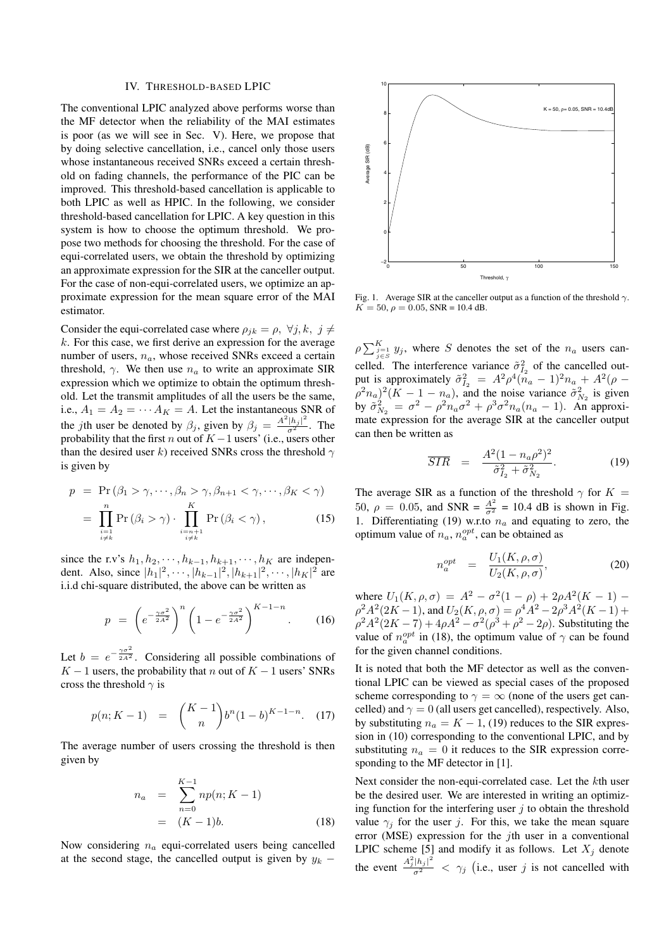### IV. THRESHOLD-BASED LPIC

The conventional LPIC analyzed above performs worse than the MF detector when the reliability of the MAI estimates is poor (as we will see in Sec. V). Here, we propose that by doing selective cancellation, i.e., cancel only those users whose instantaneous received SNRs exceed a certain threshold on fading channels, the performance of the PIC can be improved. This threshold-based cancellation is applicable to both LPIC as well as HPIC. In the following, we consider threshold-based cancellation for LPIC. A key question in this system is how to choose the optimum threshold. We propose two methods for choosing the threshold. For the case of equi-correlated users, we obtain the threshold by optimizing an approximate expression for the SIR at the canceller output. For the case of non-equi-correlated users, we optimize an approximate expression for the mean square error of the MAI estimator.

Consider the equi-correlated case where  $\rho_{jk} = \rho, \ \forall j, k, \ j \neq j$  $k$ . For this case, we first derive an expression for the average number of users,  $n_a$ , whose received SNRs exceed a certain threshold,  $\gamma$ . We then use  $n_a$  to write an approximate SIR expression which we optimize to obtain the optimum threshold. Let the transmit amplitudes of all the users be the same, i.e.,  $A_1 = A_2 = \cdots A_K = A$ . Let the instantaneous SNR of the *j*th user be denoted by  $\beta_j$ , given by  $\beta_j = \frac{A^2 |h_j|^2}{\sigma^2}$ . The probability that the first n out of  $K - 1$  users' (i.e., users other than the desired user k) received SNRs cross the threshold  $\gamma$ is given by

$$
p = \Pr(\beta_1 > \gamma, \cdots, \beta_n > \gamma, \beta_{n+1} < \gamma, \cdots, \beta_K < \gamma)
$$

$$
= \prod_{\substack{i=1\\i\neq k}}^{n} \Pr\left(\beta_i > \gamma\right) \cdot \prod_{\substack{i=n+1\\i\neq k}}^{K} \Pr\left(\beta_i < \gamma\right),\tag{15}
$$

since the r.v's  $h_1, h_2, \cdots, h_{k-1}, h_{k+1}, \cdots, h_K$  are independent. Also, since  $|h_1|^2$ ,  $\cdots$ ,  $|h_{k-1}|^2$ ,  $|h_{k+1}|^2$ ,  $\cdots$ ,  $|h_K|^2$  are i.i.d chi-square distributed, the above can be written as

$$
p = \left(e^{-\frac{\gamma \sigma^2}{2A^2}}\right)^n \left(1 - e^{-\frac{\gamma \sigma^2}{2A^2}}\right)^{K-1-n}.
$$
 (16)

Let  $b = e^{-\frac{\gamma \sigma^2}{2A^2}}$ . Considering all possible combinations of  $K - 1$  users, the probability that n out of  $K - 1$  users' SNRs cross the threshold  $\gamma$  is

$$
p(n; K - 1) = {K - 1 \choose n} b^n (1 - b)^{K - 1 - n}.
$$
 (17)

The average number of users crossing the threshold is then given by

$$
n_a = \sum_{n=0}^{K-1} np(n; K - 1)
$$
  
=  $(K - 1)b$ . (18)

Now considering  $n_a$  equi-correlated users being cancelled at the second stage, the cancelled output is given by  $y_k$  –



Fig. 1. Average SIR at the canceller output as a function of the threshold  $\gamma$ .  $K = 50, \rho = 0.05$ , SNR = 10.4 dB.

 $\rho \sum_{j=1}^{K} y_j$ , where S denotes the set of the  $n_a$  users cancelled. The interference variance  $\tilde{\sigma}_{I_2}^2$  of the cancelled output is approximately  $\tilde{\sigma}_{I_2}^2 = A^2 \rho^4 (\tilde{n}_a - 1)^2 n_a + A^2 (\rho (\rho^2 n_a)^2 (K - 1 - n_a)$ , and the noise variance  $\tilde{\sigma}_{N_2}^2$  is given by  $\tilde{\sigma}_{N_2}^2 = \sigma^2 - \rho^2 n_a \sigma^2 + \rho^3 \sigma^2 n_a (n_a - 1)$ . An approximate expression for the average SIR at the canceller output can then be written as

$$
\overline{SIR} = \frac{A^2(1 - n_a \rho^2)^2}{\tilde{\sigma}_{I_2}^2 + \tilde{\sigma}_{N_2}^2}.
$$
 (19)

The average SIR as a function of the threshold  $\gamma$  for  $K =$ 50,  $\rho = 0.05$ , and SNR =  $\frac{A^2}{\sigma^2} = 10.4$  dB is shown in Fig. 1. Differentiating (19) w.r.to  $n_a$  and equating to zero, the optimum value of  $n_a$ ,  $n_a^{opt}$ , can be obtained as

$$
n_a^{opt} = \frac{U_1(K, \rho, \sigma)}{U_2(K, \rho, \sigma)},
$$
\n(20)

where  $U_1(K, \rho, \sigma) = A^2 - \sigma^2(1 - \rho) + 2\rho A^2(K - 1)$  –  $\rho^2 A^2(2K-1)$ , and  $U_2(K, \rho, \sigma) = \rho^4 A^2 - 2\rho^3 A^2(K-1) +$  $\rho^2 A^2 (2K - 7) + 4\rho A^2 - \sigma^2 (\rho^3 + \rho^2 - 2\rho)$ . Substituting the value of  $n_a^{opt}$  in (18), the optimum value of  $\gamma$  can be found for the given channel conditions.

It is noted that both the MF detector as well as the conventional LPIC can be viewed as special cases of the proposed scheme corresponding to  $\gamma = \infty$  (none of the users get cancelled) and  $\gamma = 0$  (all users get cancelled), respectively. Also, by substituting  $n_a = K - 1$ , (19) reduces to the SIR expression in (10) corresponding to the conventional LPIC, and by substituting  $n_a = 0$  it reduces to the SIR expression corresponding to the MF detector in [1].

Next consider the non-equi-correlated case. Let the kth user be the desired user. We are interested in writing an optimizing function for the interfering user  $j$  to obtain the threshold value  $\gamma_i$  for the user j. For this, we take the mean square error (MSE) expression for the jth user in a conventional LPIC scheme [5] and modify it as follows. Let  $X_i$  denote the event  $\frac{A_j^2 |h_j|^2}{\sigma^2} < \gamma_j$  (i.e., user j is not cancelled with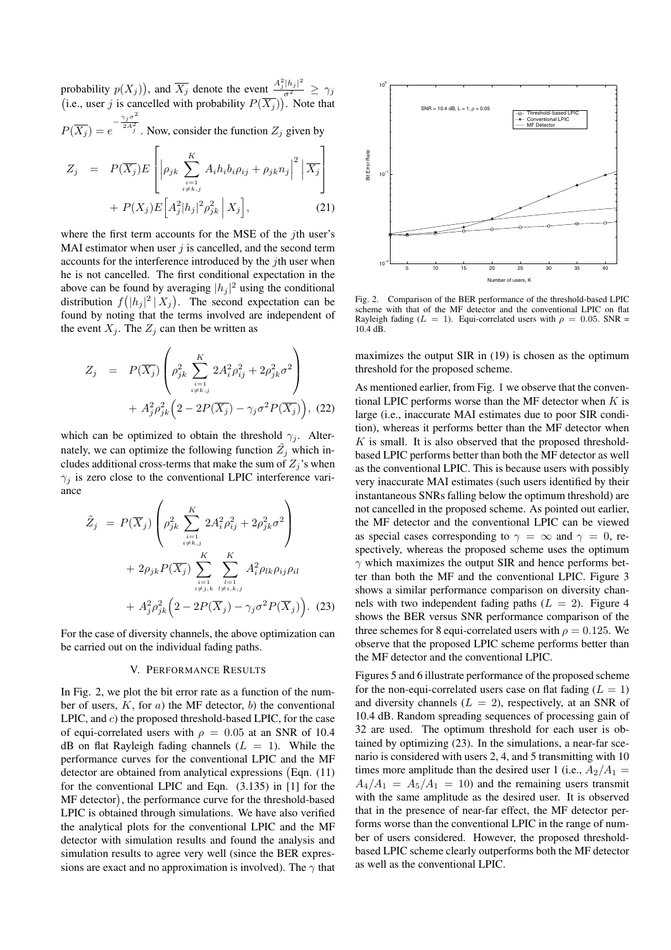probability  $p(X_j)$ ), and  $\overline{X_j}$  denote the event  $\frac{A_j^2 |h_j|^2}{\sigma^2} \ge \gamma_j$ (i.e., user j is cancelled with probability  $P(\overline{X_j})$ ). Note that  $-\frac{\gamma_j \sigma^2}{2A_j^2}$ . Now, consider the function  $Z_j$  given by

 $P(\overline{X_j}) = e$  $\overline{1}$ 

$$
Z_j = P(\overline{X_j}) E\left[ \left| \rho_{jk} \sum_{\substack{i=1 \ i \neq k,j}}^K A_i h_i b_i \rho_{ij} + \rho_{jk} n_j \right|^2 \left| \overline{X_j} \right| + P(X_j) E\left[ A_j^2 |h_j|^2 \rho_{jk}^2 \middle| X_j \right], \right]
$$
\n(21)

where the first term accounts for the MSE of the *i*th user's MAI estimator when user  $j$  is cancelled, and the second term accounts for the interference introduced by the  $j$ th user when he is not cancelled. The first conditional expectation in the above can be found by averaging  $|h_j|^2$  using the conditional distribution  $f(|h_j|^2 | X_j)$ . The second expectation can be found by noting that the terms involved are independent of the event  $X_i$ . The  $Z_i$  can then be written as

$$
Z_{j} = P(\overline{X_{j}}) \left( \rho_{jk}^{2} \sum_{\substack{i=1 \\ i \neq k, j}}^{K} 2A_{i}^{2} \rho_{ij}^{2} + 2\rho_{jk}^{2} \sigma^{2} \right) + A_{j}^{2} \rho_{jk}^{2} \left( 2 - 2P(\overline{X_{j}}) - \gamma_{j} \sigma^{2} P(\overline{X_{j}}) \right), (22)
$$

which can be optimized to obtain the threshold  $\gamma_i$ . Alternately, we can optimize the following function  $\tilde{Z}_j$  which includes additional cross-terms that make the sum of  $Z_i$ 's when  $\gamma_j$  is zero close to the conventional LPIC interference variance

$$
\tilde{Z}_j = P(\overline{X}_j) \left( \rho_{jk}^2 \sum_{\substack{i=1 \ i \neq k,j}}^K 2A_i^2 \rho_{ij}^2 + 2\rho_{jk}^2 \sigma^2 \right)
$$
  
+  $2\rho_{jk} P(\overline{X}_j) \sum_{\substack{i=1 \ i \neq j,k}}^K \sum_{\substack{l=1 \ i \neq j,k}}^K A_i^2 \rho_{lk} \rho_{ij} \rho_{il}$   
+  $A_j^2 \rho_{jk}^2 \left( 2 - 2P(\overline{X}_j) - \gamma_j \sigma^2 P(\overline{X}_j) \right)$ . (23)

For the case of diversity channels, the above optimization can be carried out on the individual fading paths.

# V. PERFORMANCE RESULTS

In Fig. 2, we plot the bit error rate as a function of the number of users,  $K$ , for  $a$ ) the MF detector,  $b$ ) the conventional LPIC, and c) the proposed threshold-based LPIC, for the case of equi-correlated users with  $\rho = 0.05$  at an SNR of 10.4 dB on flat Rayleigh fading channels  $(L = 1)$ . While the performance curves for the conventional LPIC and the MF detector are obtained from analytical expressions Eqn. (11) for the conventional LPIC and Eqn. (3.135) in [1] for the MF detector , the performance curve for the threshold-based LPIC is obtained through simulations. We have also verified the analytical plots for the conventional LPIC and the MF detector with simulation results and found the analysis and simulation results to agree very well (since the BER expressions are exact and no approximation is involved). The  $\gamma$  that



Fig. 2. Comparison of the BER performance of the threshold-based LPIC scheme with that of the MF detector and the conventional LPIC on flat Rayleigh fading ( $L = 1$ ). Equi-correlated users with  $\rho = 0.05$ . SNR = 10.4 dB.

maximizes the output SIR in (19) is chosen as the optimum threshold for the proposed scheme.

As mentioned earlier, from Fig. 1 we observe that the conventional LPIC performs worse than the MF detector when  $K$  is large (i.e., inaccurate MAI estimates due to poor SIR condition), whereas it performs better than the MF detector when  $K$  is small. It is also observed that the proposed thresholdbased LPIC performs better than both the MF detector as well as the conventional LPIC. This is because users with possibly very inaccurate MAI estimates (such users identified by their instantaneous SNRs falling below the optimum threshold) are not cancelled in the proposed scheme. As pointed out earlier, the MF detector and the conventional LPIC can be viewed as special cases corresponding to  $\gamma = \infty$  and  $\gamma = 0$ , respectively, whereas the proposed scheme uses the optimum  $\gamma$  which maximizes the output SIR and hence performs better than both the MF and the conventional LPIC. Figure 3 shows a similar performance comparison on diversity channels with two independent fading paths  $(L = 2)$ . Figure 4 shows the BER versus SNR performance comparison of the three schemes for 8 equi-correlated users with  $\rho = 0.125$ . We observe that the proposed LPIC scheme performs better than the MF detector and the conventional LPIC.

Figures 5 and 6 illustrate performance of the proposed scheme for the non-equi-correlated users case on flat fading  $(L = 1)$ and diversity channels  $(L = 2)$ , respectively, at an SNR of 10.4 dB. Random spreading sequences of processing gain of 32 are used. The optimum threshold for each user is obtained by optimizing (23). In the simulations, a near-far scenario is considered with users 2, 4, and 5 transmitting with 10 times more amplitude than the desired user 1 (i.e.,  $A_2/A_1 =$  $A_4/A_1 = A_5/A_1 = 10$  and the remaining users transmit with the same amplitude as the desired user. It is observed that in the presence of near-far effect, the MF detector performs worse than the conventional LPIC in the range of number of users considered. However, the proposed thresholdbased LPIC scheme clearly outperforms both the MF detector as well as the conventional LPIC.